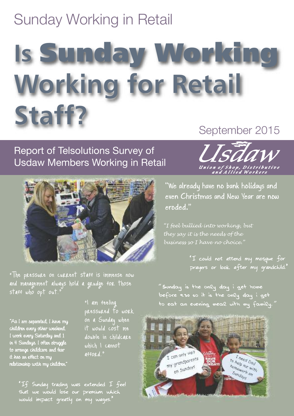## Sunday Working in Retail

## **Is Sunday Working Working for Retail Staff?** September 2015

## Report of Telsolutions Survey of Usdaw Members Working in Retail



"The pressure on current staff is immense now and management always hold a grudge for those

"As I am separated, I have my children every other weekend. I work every Saturday and 1 in 4 Sundays. I often struggle to arrange childcare and fear it has an effect on my relationship with my children."

"I am feeling pressured to work on a Sunday when it would cost me double in childcare which I cannot afford."

"If Sunday trading was extended I feel that we would lose our premium which would impact greatly on my wages."



"We already have no bank holidays and even Christmas and New Year are now eroded."

*"I feel bullied into working, but they say it is the needs of the business so I have no choice."*

> "I could not attend my mosque for prayers or look after my grandchild."

"Sunday is the only day i get home before 9.30 so it is the only day i get to eat an evening meal with my family.*"*

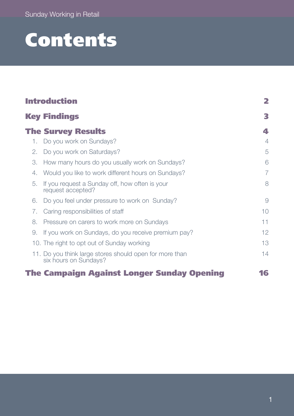## **Contents**

| <b>Introduction</b> |                                                                                  | 2              |
|---------------------|----------------------------------------------------------------------------------|----------------|
|                     | <b>Key Findings</b>                                                              | 3              |
|                     | <b>The Survey Results</b>                                                        | 4              |
| 1.                  | Do you work on Sundays?                                                          | $\overline{4}$ |
| 2.                  | Do you work on Saturdays?                                                        | 5              |
| 3.                  | How many hours do you usually work on Sundays?                                   | 6              |
| 4.                  | Would you like to work different hours on Sundays?                               | 7              |
| 5.                  | If you request a Sunday off, how often is your<br>request accepted?              | 8              |
| 6.                  | Do you feel under pressure to work on Sunday?                                    | 9              |
| 7.                  | Caring responsibilities of staff                                                 | 10             |
| 8.                  | Pressure on carers to work more on Sundays                                       | 11             |
| 9.                  | If you work on Sundays, do you receive premium pay?                              | 12             |
|                     | 10. The right to opt out of Sunday working                                       | 13             |
|                     | 11. Do you think large stores should open for more than<br>six hours on Sundays? | 14             |
|                     | <b>The Campaign Against Longer Sunday Opening</b>                                | 16             |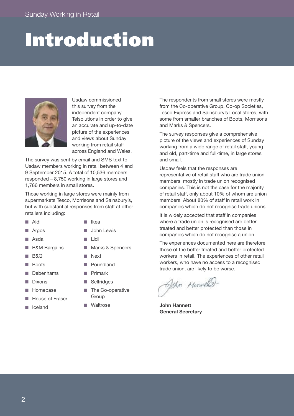## **Introduction**



Usdaw commissioned this survey from the independent company Telsolutions in order to give an accurate and up-to-date picture of the experiences and views about Sunday working from retail staff across England and Wales.

The survey was sent by email and SMS text to Usdaw members working in retail between 4 and 9 September 2015. A total of 10,536 members responded – 8,750 working in large stores and 1,786 members in small stores.

Those working in large stores were mainly from supermarkets Tesco, Morrisons and Sainsbury's, but with substantial responses from staff at other retailers including:

- n Aldi
- n Ikea
- $\blacksquare$  Argos
- 
- Asda **B&M Bargains**
- 
- n B&Q
- **Boots**
- Debenhams
- **Dixons**
- Homebase
- n House of Fraser
- **n** Iceland
- **n** John Lewis
- n Lidl
- Marks & Spencers
- **n** Next
- **n** Poundland
- Primark
- **n** Selfridges
- The Co-operative Group
- Waitrose

The respondents from small stores were mostly from the Co-operative Group, Co-op Societies, Tesco Express and Sainsbury's Local stores, with some from smaller branches of Boots, Morrisons and Marks & Spencers.

The survey responses give a comprehensive picture of the views and experiences of Sunday working from a wide range of retail staff, young and old, part-time and full-time, in large stores and small.

Usdaw feels that the responses are representative of retail staff who are trade union members, mostly in trade union recognised companies. This is not the case for the majority of retail staff, only about 10% of whom are union members. About 80% of staff in retail work in companies which do not recognise trade unions.

It is widely accepted that staff in companies where a trade union is recognised are better treated and better protected than those in companies which do not recognise a union.

The experiences documented here are therefore those of the better treated and better protected workers in retail. The experiences of other retail workers, who have no access to a recognised trade union, are likely to be worse.

Ophn Mondell

**John Hannett General Secretary**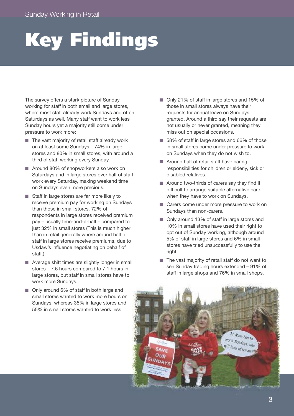# **Key Findings**

The survey offers a stark picture of Sunday working for staff in both small and large stores, where most staff already work Sundays and often Saturdays as well. Many staff want to work less Sunday hours yet a majority still come under pressure to work more:

- $\blacksquare$  The vast majority of retail staff already work on at least some Sundays – 74% in large stores and 80% in small stores, with around a third of staff working every Sunday.
- Around 80% of shopworkers also work on Saturdays and in large stores over half of staff work every Saturday, making weekend time on Sundays even more precious.
- Staff in large stores are far more likely to receive premium pay for working on Sundays than those in small stores. 72% of respondents in large stores received premium pay – usually time-and-a-half – compared to just 32% in small stores (This is much higher than in retail generally where around half of staff in large stores receive premiums, due to Usdaw's influence negotiating on behalf of staff.).
- Average shift times are slightly longer in small stores – 7.6 hours compared to 7.1 hours in large stores, but staff in small stores have to work more Sundays.
- Only around 6% of staff in both large and small stores wanted to work more hours on Sundays, whereas 35% in large stores and 55% in small stores wanted to work less.
- Only 21% of staff in large stores and 15% of those in small stores always have their requests for annual leave on Sundays granted. Around a third say their requests are not usually or never granted, meaning they miss out on special occasions.
- 58% of staff in large stores and 66% of those in small stores come under pressure to work on Sundays when they do not wish to.
- $\blacksquare$  Around half of retail staff have caring responsibilities for children or elderly, sick or disabled relatives.
- $\blacksquare$  Around two-thirds of carers say they find it difficult to arrange suitable alternative care when they have to work on Sundays.
- Carers come under more pressure to work on Sundays than non-carers.
- Only around 13% of staff in large stores and 10% in small stores have used their right to opt out of Sunday working, although around 5% of staff in large stores and 6% in small stores have tried unsuccessfully to use the right.
- $\blacksquare$  The vast majority of retail staff do not want to see Sunday trading hours extended – 91% of staff in large shops and 76% in small shops.

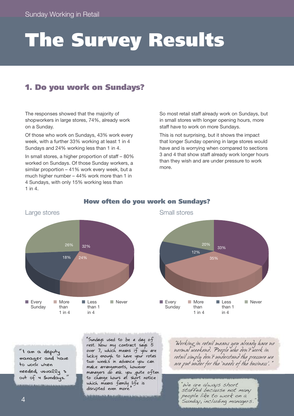## **The Survey Results**

## **1. Do you work on Sundays?**

The responses showed that the majority of shopworkers in large stores, 74%, already work on a Sunday.

Of those who work on Sundays, 43% work every week, with a further 33% working at least 1 in 4 Sundays and 24% working less than 1 in 4.

In small stores, a higher proportion of staff – 80% worked on Sundays. Of those Sunday workers, a similar proportion – 41% work every week, but a much higher number – 44% work more than 1 in 4 Sundays, with only 15% working less than 1 in 4.

So most retail staff already work on Sundays, but in small stores with longer opening hours, more staff have to work on more Sundays.

This is not surprising, but it shows the impact that longer Sunday opening in large stores would have and is worrying when compared to sections 3 and 4 that show staff already work longer hours than they wish and are under pressure to work more.



#### **How often do you work on Sundays?**



### Large stores and the stores Small stores

*"*I am a deputy manager and have to work when needed, usually 3 out of 4 Sundays.*"*

"Sundays used to be a day of rest. Now my contract says 5 over 7, which means if you are lucky enough to have your rotas two weeks in advance you can make arrangements, however managers do ask you quite often to change hours at short notice which means family life is disrupted even more.

*"Working in retail means you already have no normal weekend. People who don't work in retail simply don't understand the pressure we are put under for the 'needs of the business'."*

"We are always short staffed because not many people like to work on a Sunday, including managers."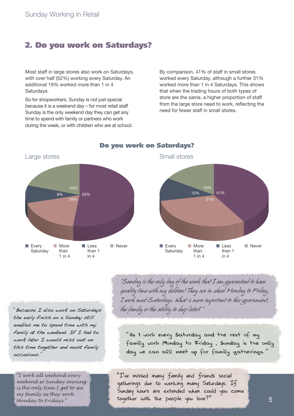### **2. Do you work on Saturdays?**

Most staff in large stores also work on Saturdays, with over half (52%) working every Saturday. An additional 19% worked more than 1 in 4 Saturdays.

So for shopworkers, Sunday is not just special because it is a weekend day – for most retail staff Sunday is the only weekend day they can get any time to spend with family or partners who work during the week, or with children who are at school. By comparison, 41% of staff in small stores worked every Saturday, although a further 31% worked more than 1 in 4 Saturdays. This shows that when the trading hours of both types of store are the same, a higher proportion of staff from the large store need to work, reflecting the need for fewer staff in small stores.



#### **Do you work on Saturdays?**



"Because I also work on Saturdays the early finish on a Sunday still enables me to spend time with my family at the weekend. If I had to work later I would miss out on this time together and most family occasions."

*"I work all weekend every weekend so Sunday evening is the only time I get to see my family as they work Monday to Fridays."*

*"Sunday is the only day of the week that I am guaranteed to have quality time with my children! They are in school Monday to Friday, I work most Saturdays. What is more important to this government, the family or the ability to shop later?"*

*"*As I work every Saturday and the rest of my family work Monday to Friday , Sunday is the only day we can all meet up for family gatherings.*"*

"I've missed many family and friends social gatherings due to working many Saturdays. If Sunday hours are extended when could you come together with the people you love?"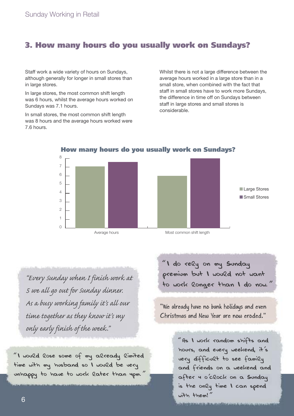### **3. How many hours do you usually work on Sundays?**

Staff work a wide variety of hours on Sundays, although generally for longer in small stores than in large stores.

In large stores, the most common shift length was 6 hours, whilst the average hours worked on Sundays was 7.1 hours.

In small stores, the most common shift length was 8 hours and the average hours worked were 7.6 hours.

Whilst there is not a large difference between the average hours worked in a large store than in a small store, when combined with the fact that staff in small stores have to work more Sundays, the difference in time off on Sundays between staff in large stores and small stores is considerable.



**How many hours do you usually work on Sundays?**

*"Every Sunday when I finish work at 5 we all go out for Sunday dinner. As a busy working family it's all our time together as they know it's my only early finish of the week."*

*"*I would lose some of my already limited time with my husband so I would be very unhappy to have to work later than 4pm.*"* *"*I do rely on my Sunday premium but I would not want to work longer than I do now.*"*

"We already have no bank holidays and even Christmas and New Year are now eroded."

> *"*As I work random shifts and hours, and every weekend, it*'*s very difficult to see family and friends on a weekend and after 4 o*'*clock on a Sunday is the only time I can spend with them!*"*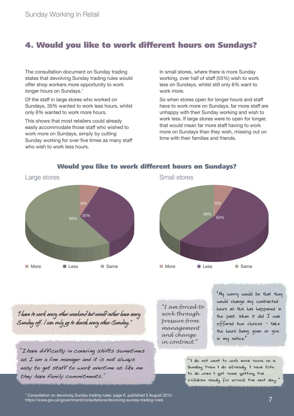## **4. Would you like to work different hours on Sundays?**

The consultation document on Sunday trading states that devolving Sunday trading rules would offer shop workers more opportunity to work longer hours on Sundays. 1

Of the staff in large stores who worked on Sundays, 35% wanted to work less hours, whilst only 6% wanted to work more hours.

This shows that most retailers could already easily accommodate those staff who wished to work more on Sundays, simply by cutting Sunday working for over five times as many staff who wish to work less hours.

6%

35%

59%

n More **n Less** n Same

In small stores, where there is more Sunday working, over half of staff (55%) wish to work less on Sundays, whilst still only 6% want to work more.

So when stores open for longer hours and staff have to work more on Sundays, far more staff are unhappy with their Sunday working and wish to work less. If large stores were to open for longer, that would mean far more staff having to work more on Sundays than they wish, missing out on time with their families and friends.



#### **Would you like to work different hours on Sundays?**

*"l have to work every other weekend but would rather have every Sunday off. l can only go to church every other Sunday."*

"Ihave difficulty in covering shifts sometimes as I am a line manager and it is not always easy to get staff to work overtime as like me they have family commitments."

*"I am forced to work through pressure from management and change in contract."*

"My worry would be that they would change my contracted hours as this has happened in the past. When it did I was offered two choices - take the hours being given or give in my notice."

*"*I do not want to work more hours on a Sunday than I do already. I have lots to do when I get home getting the children ready for school the next day.*"*

<sup>1</sup> Consultation on devolving Sunday trading rules, page 6, published 5 August 2015:<br>https://www.gov.uk/government/consultations/devolving-sundav-trading-rules https://www.gov.uk/government/consultations/devolving-sunday-trading-rules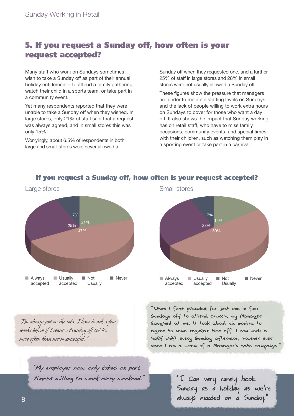## **5. If you request a Sunday off, how often is your request accepted?**

Many staff who work on Sundays sometimes wish to take a Sunday off as part of their annual holiday entitlement – to attend a family gathering, watch their child in a sports team, or take part in a community event.

Yet many respondents reported that they were unable to take a Sunday off when they wished. In large stores, only 21% of staff said that a request was always agreed, and in small stores this was only 15%.

Worryingly, about 6.5% of respondents in both large and small stores were never allowed a

Sunday off when they requested one, and a further 25% of staff in large stores and 28% in small stores were not usually allowed a Sunday off.

These figures show the pressure that managers are under to maintain staffing levels on Sundays, and the lack of people willing to work extra hours on Sundays to cover for those who want a day off. It also shows the impact that Sunday working has on retail staff, who have to miss family occasions, community events, and special times with their children, such as watching them play in a sporting event or take part in a carnival.

7%

28%

 $\Box$  Usually accepted  $15<sub>0</sub>$ 

50%



#### **If you request a Sunday off, how often is your request accepted?**

 $\blacksquare$  Always accepted

*"*When I first pleaded for just one in four Sundays off to attend church, my Manager laughed at me. It took about six months to agree to some regular time off. I now work a half shift every Sunday afternoon, however ever since I am a victim of a Manager*'*s hate campaign.*"*

n Not **Usually**  n Never

*"I'm always put on the rota, I have to ask a few weeks before if I want a Sunday off but it's more often than not unsuccessful."*

> "My employer now only takes on part timers willing to work every weekend."

"I Can very rarely book Sunday as a holiday as we're always needed on a Sunday."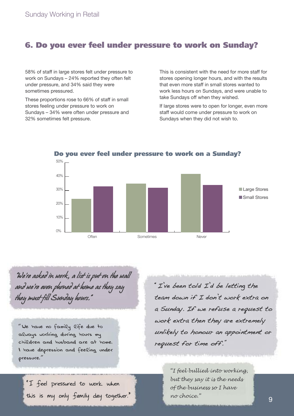### **6. Do you ever feel under pressure to work on Sunday?**

58% of staff in large stores felt under pressure to work on Sundays – 24% reported they often felt under pressure, and 34% said they were sometimes pressured.

These proportions rose to 66% of staff in small stores feeling under pressure to work on Sundays – 34% were often under pressure and 32% sometimes felt pressure.

This is consistent with the need for more staff for stores opening longer hours, and with the results that even more staff in small stores wanted to work less hours on Sundays, and were unable to take Sundays off when they wished.

If large stores were to open for longer, even more staff would come under pressure to work on Sundays when they did not wish to.



**Do you ever feel under pressure to work on a Sunday?**

*"We're asked in work, a list is put on the wall and we're even phoned at home as they say they must fill Sunday hours."*

*"*We have no family life due to always working during hours my children and husband are at home. I have depression and feeling under pressure.*"*

"I feel pressured to work when this is my only family day together." "I've been told I'd be letting the team down if I don't work extra on a Sunday. If we refuse a request to work extra then they are extremely unlikely to honour an appointment or request for time off."

> *"I feel bullied into working, but they say it is the needs of the business so I have no choice."*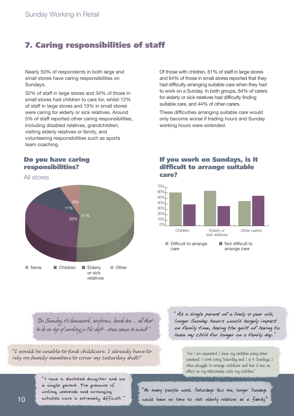## **7. Caring responsibilities of staff**

Nearly 50% of respondents in both large and small stores have caring responsibilities on Sundays.

32% of staff in large stores and 34% of those in small stores had children to care for, whilst 12% of staff in large stores and 10% in small stores were caring for elderly or sick relatives. Around 5% of staff reported other caring responsibilities, including disabled relatives, grandchildren, visiting elderly relatives or family, and volunteering responsibilities such as sports team coaching.

#### **Do you have caring responsibilities?**

All stores



Of those with children, 61% of staff in large stores and 64% of those in small stores reported that they had difficulty arranging suitable care when they had to work on a Sunday. In both groups, 64% of carers for elderly or sick relatives had difficulty finding suitable care, and 44% of other carers.

These difficulties arranging suitable care would only become worse if trading hours and Sunday working hours were extended.

#### **If you work on Sundays, is it difficult to arrange suitable care?**



*"On Sunday it's homework, uniforms, lunch box … all that to do on top of working a 7hr shift - stress comes to mind!"*

*"I would be unable to find childcare. I already have to rely on family members to cover my Saturday shift!"* "As <sup>I</sup> am separated, <sup>I</sup> have my children every other

"As a single parent of a lively 12 year old, longer Sunday hours would hugely impact on family time, having the guilt of having to leave my child for longer on a family day."

> weekend. <sup>I</sup> work every Saturday and <sup>1</sup> in <sup>4</sup> Sundays. <sup>I</sup> often struggle to arrange childcare and fear it has an effect on my relationship with my children."

*"*I have a disabled daughter and am a single parent. The pressure of working weekends and arranging suitable care is extremely difficult.*"*

"As many people work Saturdays like me, longer Sundays would leave no time to visit elderly relatives as a family."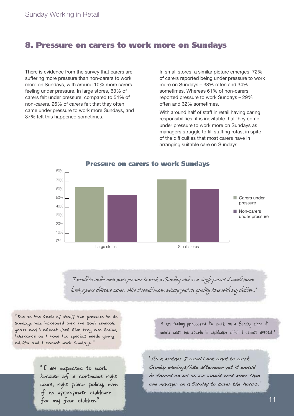### **8. Pressure on carers to work more on Sundays**

There is evidence from the survey that carers are suffering more pressure than non-carers to work more on Sundays, with around 10% more carers feeling under pressure. In large stores, 63% of carers felt under pressure, compared to 54% of non-carers. 26% of carers felt that they often came under pressure to work more Sundays, and 37% felt this happened sometimes.

In small stores, a similar picture emerges. 72% of carers reported being under pressure to work more on Sundays – 38% often and 34% sometimes. Whereas 61% of non-carers reported pressure to work Sundays – 29% often and 32% sometimes.

With around half of staff in retail having caring responsibilities, it is inevitable that they come under pressure to work more on Sundays as managers struggle to fill staffing rotas, in spite of the difficulties that most carers have in arranging suitable care on Sundays.



*"I would be under even more pressure to work a Sunday and as a single parent it would mean having more childcare issues. Also it would mean missing out on quality time with my children."*

*"*Due to the lack of staff the pressure to do Sundays has increased over the last several years and I almost feel like they are losing tolerance as I have two special needs young adults and I cannot work Sundays.*"*

> "I am expected to work because of a continuous right hours, right place policy, even if no appropriate childcare for my four children."

"I am feeling pressured to work on a Sunday when it would cost me double in childcare which I cannot afford."

"As a mother I would not want to work Sunday evenings/late afternoon yet it would be forced on us as we would need more than one manager on a Sunday to cover the hours."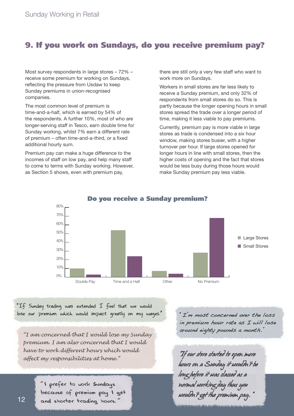## **9. If you work on Sundays, do you receive premium pay?**

Most survey respondents in large stores – 72% – receive some premium for working on Sundays, reflecting the pressure from Usdaw to keep Sunday premiums in union-recognised companies.

The most common level of premium is time-and-a-half, which is earned by 54% of the respondents. A further 10%, most of who are longer-serving staff in Tesco, earn double time for Sunday working, whilst 7% earn a different rate of premium – often time-and-a-third, or a fixed additional hourly sum.

Premium pay can make a huge difference to the incomes of staff on low pay, and help many staff to come to terms with Sunday working. However, as Section 5 shows, even with premium pay,

there are still only a very few staff who want to work more on Sundays.

Workers in small stores are far less likely to receive a Sunday premium, and only 32% of respondents from small stores do so. This is partly because the longer opening hours in small stores spread the trade over a longer period of time, making it less viable to pay premiums.

Currently, premium pay is more viable in large stores as trade is condensed into a six hour window, making stores busier, with a higher turnover per hour. If large stores opened for longer hours in line with small stores, then the higher costs of opening and the fact that stores would be less busy during those hours would make Sunday premium pay less viable.



#### **Do you receive a Sunday premium?**

"If Sunday trading was extended I feel that we would lose our premium which would impact greatly on my wages." "I'm most concerned over the loss

*"I am concerned that I would lose my Sunday premium. I am also concerned that I would have to work different hours which would affect my responsibilities at home."*

> *"*I prefer to work Sundays because of premium pay I get and shorter trading hours.*"*

in premium hour rate as I will lose around eighty pounds a month."

*"If our store started to open more hours on a Sunday it wouldn't be long before it was classed as a normal working day thus you wouldn't get the premium pay."*

endorse ander allere använken sowie dass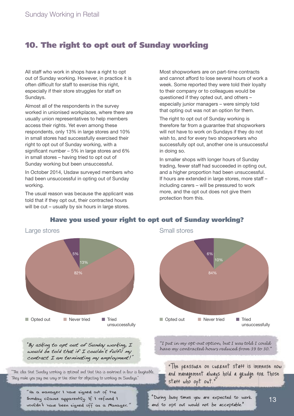## **10. The right to opt out of Sunday working**

All staff who work in shops have a right to opt out of Sunday working. However, in practice it is often difficult for staff to exercise this right, especially if their store struggles for staff on Sundays.

Almost all of the respondents in the survey worked in unionised workplaces, where there are usually union representatives to help members access their rights. Yet even among these respondents, only 13% in large stores and 10% in small stores had successfully exercised their right to opt out of Sunday working, with a significant number – 5% in large stores and 6% in small stores – having tried to opt out of Sunday working but been unsuccessful.

In October 2014, Usdaw surveyed members who had been unsuccessful in opting out of Sunday working.

The usual reason was because the applicant was told that if they opt out, their contracted hours will be cut – usually by six hours in large stores.

Most shopworkers are on part-time contracts and cannot afford to lose several hours of work a week. Some reported they were told their loyalty to their company or to colleagues would be questioned if they opted out, and others – especially junior managers – were simply told that opting out was not an option for them.

The right to opt out of Sunday working is therefore far from a guarantee that shopworkers will not have to work on Sundays if they do not wish to, and for every two shopworkers who successfully opt out, another one is unsuccessful in doing so.

In smaller shops with longer hours of Sunday trading, fewer staff had succeeded in opting out, and a higher proportion had been unsuccessful. If hours are extended in large stores, more staff – including carers – will be pressured to work more, and the opt out does not give them protection from this.



#### **Have you used your right to opt out of Sunday working?**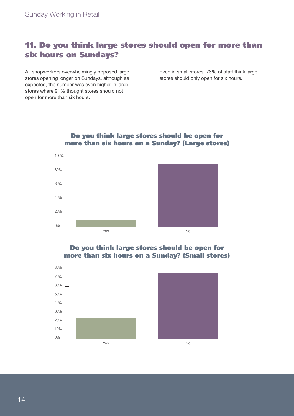## **11. Do you think large stores should open for more than six hours on Sundays?**

All shopworkers overwhelmingly opposed large stores opening longer on Sundays, although as expected, the number was even higher in large stores where 91% thought stores should not open for more than six hours.

Even in small stores, 76% of staff think large stores should only open for six hours.



#### **Do you think large stores should be open for more than six hours on a Sunday? (Large stores)**

#### **Do you think large stores should be open for more than six hours on a Sunday? (Small stores)**

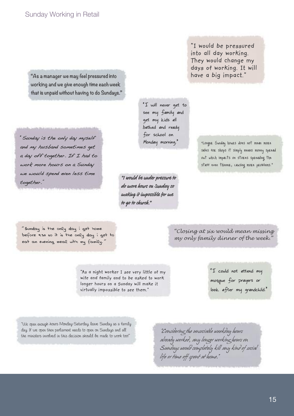**"As a manager we may feel pressured into working and we give enough time each week that is unpaid without having to do Sundays."**

"Sunday is the only day myself and my husband sometimes get a day off together. If I had to work more hours on a Sunday we would spend even less time together." **"I would be under pressure to**

"I will never get to see my family and get my kids all bathed and ready for school on Monday morning."

**do more hours on Sunday so making it impossible for me to go to church."**

"I would be pressured into all day working. They would change my days of working. It will have a big impact."

> "Longer Sunday hours does not mean more sales for shops it simply means money spread out which impacts on stores spreading the staff even thinner, causing more problems."

*"*Sunday is the only day i get home before 9.30 so it is the only day i get to eat an evening meal with my family.*"*

#### *"Closing at six would mean missing my only family dinner of the week."*

"As a night worker I see very little of my wife and family and to be asked to work longer hours on a Sunday will make it virtually impossible to see them."

"I could not attend my mosque for prayers or look after my grandchild."

"We open enough hours Monday-Saturday, leave Sunday as <sup>a</sup> family day. If we open then parliament needs to open on Sundays and all the ministers involved in this decision should be made to work too!"

*"Considering the unsociable weekday hours already worked, any longer working hours on Sundays would completely kill any kind of social life or time off spent at home."*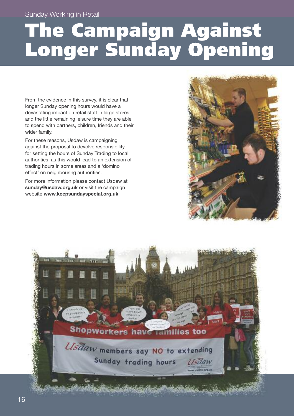## **The Campaign Against Longer Sunday Opening**

From the evidence in this survey, it is clear that longer Sunday opening hours would have a devastating impact on retail staff in large stores and the little remaining leisure time they are able to spend with partners, children, friends and their wider family.

For these reasons, Usdaw is campaigning against the proposal to devolve responsibility for setting the hours of Sunday Trading to local authorities, as this would lead to an extension of trading hours in some areas and a 'domino effect' on neighbouring authorities.

For more information please contact Usdaw at **sunday@usdaw.org.uk** or visit the campaign website **www.keepsundayspecial.org.uk**